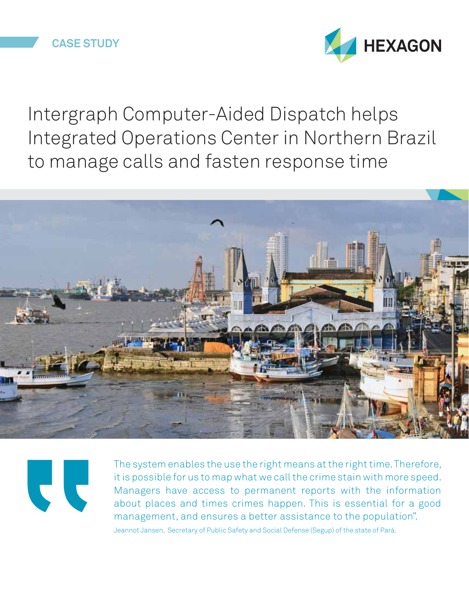

Intergraph Computer-Aided Dispatch helps Integrated Operations Center in Northern Brazil to manage calls and fasten response time





The system enables the use the right means at the right time. Therefore, it is possible for us to map what we call the crime stain with more speed. Managers have access to permanent reports with the information about places and times crimes happen. This is essential for a good management, and ensures a better assistance to the population". Jeannot Jansen, Secretary of Public Safety and Social Defense (Segup) of the state of Pará.